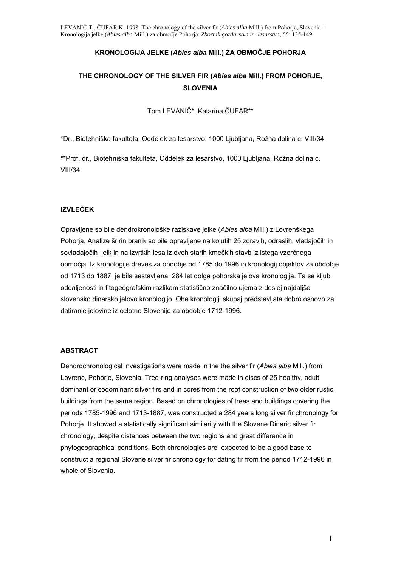### **KRONOLOGIJA JELKE (***Abies alba* **Mill.) ZA OBMOČJE POHORJA**

## **THE CHRONOLOGY OF THE SILVER FIR (***Abies alba* **Mill.) FROM POHORJE, SLOVENIA**

Tom LEVANIČ\*, Katarina ČUFAR\*\*

\*Dr., Biotehniška fakulteta, Oddelek za lesarstvo, 1000 Ljubljana, Rožna dolina c. VIII/34

\*\*Prof. dr., Biotehniška fakulteta, Oddelek za lesarstvo, 1000 Ljubljana, Rožna dolina c. VIII/34

## **IZVLEČEK**

Opravljene so bile dendrokronološke raziskave jelke (*Abies alba* Mill.) z Lovrenškega Pohorja. Analize šririn branik so bile opravljene na kolutih 25 zdravih, odraslih, vladajočih in sovladajočih jelk in na izvrtkih lesa iz dveh starih kmečkih stavb iz istega vzorčnega območja. Iz kronologije dreves za obdobje od 1785 do 1996 in kronologij objektov za obdobje od 1713 do 1887 je bila sestavljena 284 let dolga pohorska jelova kronologija. Ta se kljub oddaljenosti in fitogeografskim razlikam statistično značilno ujema z doslej najdaljšo slovensko dinarsko jelovo kronologijo. Obe kronologiji skupaj predstavljata dobro osnovo za datiranje jelovine iz celotne Slovenije za obdobje 1712-1996.

### **ABSTRACT**

Dendrochronological investigations were made in the the silver fir (*Abies alba* Mill.) from Lovrenc, Pohorje, Slovenia. Tree-ring analyses were made in discs of 25 healthy, adult, dominant or codominant silver firs and in cores from the roof construction of two older rustic buildings from the same region. Based on chronologies of trees and buildings covering the periods 1785-1996 and 1713-1887, was constructed a 284 years long silver fir chronology for Pohorje. It showed a statistically significant similarity with the Slovene Dinaric silver fir chronology, despite distances between the two regions and great difference in phytogeographical conditions. Both chronologies are expected to be a good base to construct a regional Slovene silver fir chronology for dating fir from the period 1712-1996 in whole of Slovenia.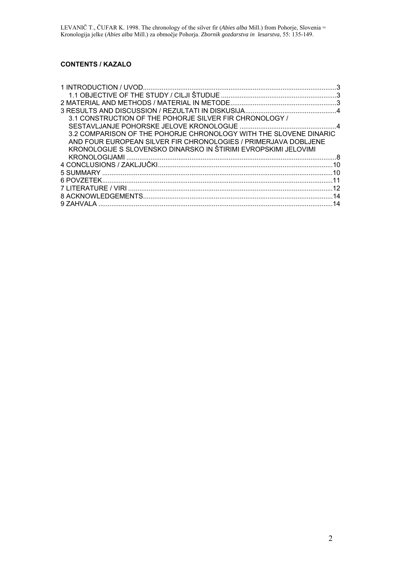## **CONTENTS / KAZALO**

| 3.1 CONSTRUCTION OF THE POHORJE SILVER FIR CHRONOLOGY /           |    |
|-------------------------------------------------------------------|----|
|                                                                   |    |
| 3.2 COMPARISON OF THE POHORJE CHRONOLOGY WITH THE SLOVENE DINARIC |    |
| AND FOUR EUROPEAN SILVER FIR CHRONOLOGIES / PRIMERJAVA DOBLJENE   |    |
| KRONOLOGIJE S SLOVENSKO DINARSKO IN ŠTIRIMI EVROPSKIMI JELOVIMI   |    |
|                                                                   |    |
|                                                                   | 10 |
|                                                                   | 10 |
|                                                                   | 11 |
|                                                                   | 12 |
|                                                                   |    |
|                                                                   | 14 |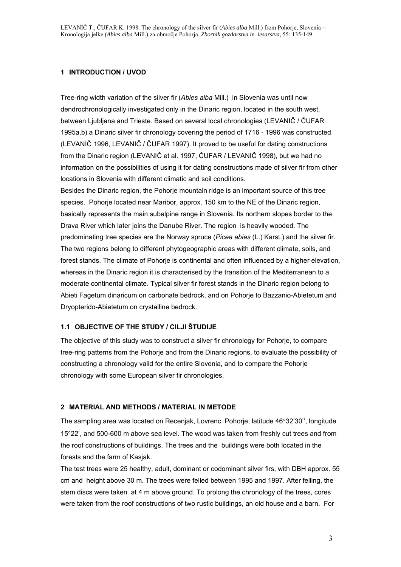### **1 INTRODUCTION / UVOD**

Tree-ring width variation of the silver fir (*Abies alba* Mill.) in Slovenia was until now dendrochronologically investigated only in the Dinaric region, located in the south west, between Ljubljana and Trieste. Based on several local chronologies (LEVANIČ / ČUFAR 1995a,b) a Dinaric silver fir chronology covering the period of 1716 - 1996 was constructed (LEVANIČ 1996, LEVANIČ / ČUFAR 1997). It proved to be useful for dating constructions from the Dinaric region (LEVANIČ et al. 1997, ČUFAR / LEVANIČ 1998), but we had no information on the possibilities of using it for dating constructions made of silver fir from other locations in Slovenia with different climatic and soil conditions.

Besides the Dinaric region, the Pohorje mountain ridge is an important source of this tree species. Pohorje located near Maribor, approx. 150 km to the NE of the Dinaric region, basically represents the main subalpine range in Slovenia. Its northern slopes border to the Drava River which later joins the Danube River. The region is heavily wooded. The predominating tree species are the Norway spruce (*Picea abies* (L.) Karst.) and the silver fir. The two regions belong to different phytogeographic areas with different climate, soils, and forest stands. The climate of Pohorje is continental and often influenced by a higher elevation, whereas in the Dinaric region it is characterised by the transition of the Mediterranean to a moderate continental climate. Typical silver fir forest stands in the Dinaric region belong to Abieti Fagetum dinaricum on carbonate bedrock, and on Pohorje to Bazzanio-Abietetum and Dryopterido-Abietetum on crystalline bedrock.

## **1.1 OBJECTIVE OF THE STUDY / CILJI ŠTUDIJE**

The objective of this study was to construct a silver fir chronology for Pohorje, to compare tree-ring patterns from the Pohorje and from the Dinaric regions, to evaluate the possibility of constructing a chronology valid for the entire Slovenia, and to compare the Pohorje chronology with some European silver fir chronologies.

### **2 MATERIAL AND METHODS / MATERIAL IN METODE**

The sampling area was located on Recenjak, Lovrenc Pohorje, latitude 46°32'30'', longitude 15°22', and 500-600 m above sea level. The wood was taken from freshly cut trees and from the roof constructions of buildings. The trees and the buildings were both located in the forests and the farm of Kasjak.

The test trees were 25 healthy, adult, dominant or codominant silver firs, with DBH approx. 55 cm and height above 30 m. The trees were felled between 1995 and 1997. After felling, the stem discs were taken at 4 m above ground. To prolong the chronology of the trees, cores were taken from the roof constructions of two rustic buildings, an old house and a barn. For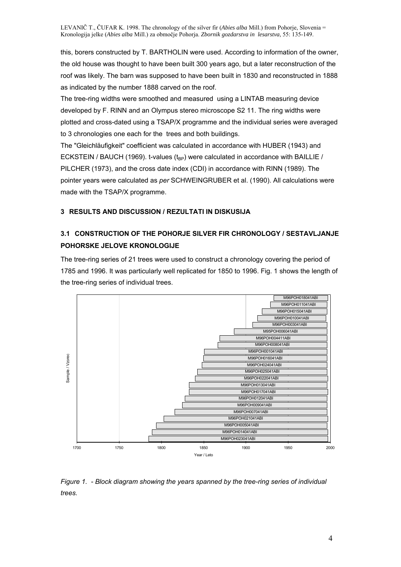this, borers constructed by T. BARTHOLIN were used. According to information of the owner, the old house was thought to have been built 300 years ago, but a later reconstruction of the roof was likely. The barn was supposed to have been built in 1830 and reconstructed in 1888 as indicated by the number 1888 carved on the roof.

The tree-ring widths were smoothed and measured using a LINTAB measuring device developed by F. RINN and an Olympus stereo microscope S2 11. The ring widths were plotted and cross-dated using a TSAP/X programme and the individual series were averaged to 3 chronologies one each for the trees and both buildings.

The "Gleichläufigkeit" coefficient was calculated in accordance with HUBER (1943) and ECKSTEIN / BAUCH (1969). t-values  $(t_{BP})$  were calculated in accordance with BAILLIE / PILCHER (1973), and the cross date index (CDI) in accordance with RINN (1989). The pointer years were calculated as *per* SCHWEINGRUBER et al. (1990). All calculations were made with the TSAP/X programme.

## **3 RESULTS AND DISCUSSION / REZULTATI IN DISKUSIJA**

## **3.1 CONSTRUCTION OF THE POHORJE SILVER FIR CHRONOLOGY / SESTAVLJANJE POHORSKE JELOVE KRONOLOGIJE**

The tree-ring series of 21 trees were used to construct a chronology covering the period of 1785 and 1996. It was particularly well replicated for 1850 to 1996. Fig. 1 shows the length of the tree-ring series of individual trees.



*Figure 1. - Block diagram showing the years spanned by the tree-ring series of individual trees.*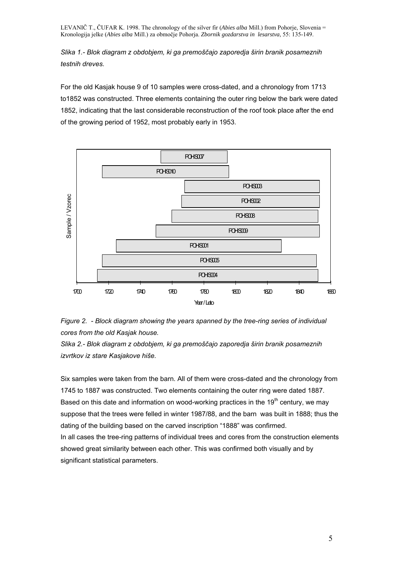*Slika 1.- Blok diagram z obdobjem, ki ga premoščajo zaporedja širin branik posameznih testnih dreves.* 

For the old Kasjak house 9 of 10 samples were cross-dated, and a chronology from 1713 to1852 was constructed. Three elements containing the outer ring below the bark were dated 1852, indicating that the last considerable reconstruction of the roof took place after the end of the growing period of 1952, most probably early in 1953.





*Slika 2.- Blok diagram z obdobjem, ki ga premoščajo zaporedja širin branik posameznih izvrtkov iz stare Kasjakove hiše.* 

Six samples were taken from the barn. All of them were cross-dated and the chronology from 1745 to 1887 was constructed. Two elements containing the outer ring were dated 1887. Based on this date and information on wood-working practices in the 19<sup>th</sup> century, we may suppose that the trees were felled in winter 1987/88, and the barn was built in 1888; thus the dating of the building based on the carved inscription "1888" was confirmed. In all cases the tree-ring patterns of individual trees and cores from the construction elements showed great similarity between each other. This was confirmed both visually and by significant statistical parameters.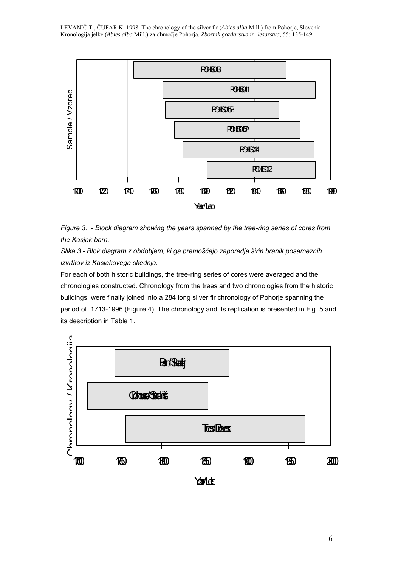

*Figure 3. - Block diagram showing the years spanned by the tree-ring series of cores from the Kasjak barn.* 

*Slika 3.- Blok diagram z obdobjem, ki ga premoščajo zaporedja širin branik posameznih izvrtkov iz Kasjakovega skednja.* 

For each of both historic buildings, the tree-ring series of cores were averaged and the chronologies constructed. Chronology from the trees and two chronologies from the historic buildings were finally joined into a 284 long silver fir chronology of Pohorje spanning the period of 1713-1996 (Figure 4). The chronology and its replication is presented in Fig. 5 and its description in Table 1.

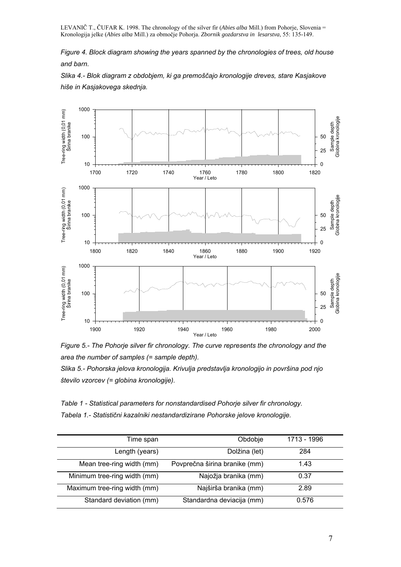*Figure 4. Block diagram showing the years spanned by the chronologies of trees, old house and barn.* 

*Slika 4.- Blok diagram z obdobjem, ki ga premoščajo kronologije dreves, stare Kasjakove hiše in Kasjakovega skednja.* 





*Slika 5.- Pohorska jelova kronologija. Krivulja predstavlja kronologijo in površina pod njo število vzorcev (= globina kronologije).* 

*Table 1 - Statistical parameters for nonstandardised Pohorje silver fir chronology. Tabela 1.- Statistični kazalniki nestandardizirane Pohorske jelove kronologije.* 

| Time span                    | Obdobje                       | 1713 - 1996 |
|------------------------------|-------------------------------|-------------|
| Length (years)               | Dolžina (let)                 | 284         |
| Mean tree-ring width (mm)    | Povprečna širina branike (mm) | 1.43        |
| Minimum tree-ring width (mm) | Najožja branika (mm)          | 0.37        |
| Maximum tree-ring width (mm) | Najširša branika (mm)         | 2.89        |
| Standard deviation (mm)      | Standardna deviacija (mm)     | 0.576       |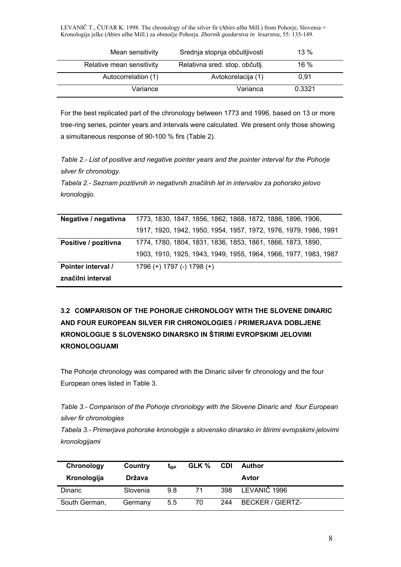| Mean sensitivity          | Srednja stopnja občutljivosti  | $13\%$ |
|---------------------------|--------------------------------|--------|
| Relative mean sensitivity | Relativna sred. stop. občutlj. | 16 %   |
| Autocorrelation (1)       | Avtokorelacija (1)             | 0.91   |
| Variance                  | Varianca                       | 0.3321 |

For the best replicated part of the chronology between 1773 and 1996, based on 13 or more tree-ring series, pointer years and intervals were calculated. We present only those showing a simultaneous response of 90-100 % firs (Table 2).

*Table 2.- List of positive and negative pointer years and the pointer interval for the Pohorje silver fir chronology.* 

*Tabela 2.- Seznam pozitivnih in negativnih značilnih let in intervalov za pohorsko jelovo kronologijo.* 

| Negative / negativna | 1773, 1830, 1847, 1856, 1862, 1868, 1872, 1886, 1896, 1906,      |
|----------------------|------------------------------------------------------------------|
|                      | 1917, 1920, 1942, 1950, 1954, 1957, 1972, 1976, 1979, 1986, 1991 |
| Positive / pozitivna | 1774, 1780, 1804, 1831, 1836, 1853, 1861, 1866, 1873, 1890,      |
|                      | 1903, 1910, 1925, 1943, 1949, 1955, 1964, 1966, 1977, 1983, 1987 |
| Pointer interval /   | 1796 (+) 1797 (-) 1798 (+)                                       |
| značilni interval    |                                                                  |

# **3.2 COMPARISON OF THE POHORJE CHRONOLOGY WITH THE SLOVENE DINARIC AND FOUR EUROPEAN SILVER FIR CHRONOLOGIES / PRIMERJAVA DOBLJENE KRONOLOGIJE S SLOVENSKO DINARSKO IN ŠTIRIMI EVROPSKIMI JELOVIMI KRONOLOGIJAMI**

The Pohorje chronology was compared with the Dinaric silver fir chronology and the four European ones listed in Table 3.

*Table 3.- Comparison of the Pohorje chronology with the Slovene Dinaric and four European silver fir chronologies* 

*Tabela 3.- Primerjava pohorske kronologije s slovensko dinarsko in štirimi evropskimi jelovimi kronologijami* 

| Chronology<br>Kronologija | Country<br>Država | $t_{\text{RP}}$ | GLK % | <b>CDI</b> | <b>Author</b><br>Avtor  |
|---------------------------|-------------------|-----------------|-------|------------|-------------------------|
| <b>Dinaric</b>            | Slovenia          | 98              | 71    | 398        | LEVANIČ 1996            |
| South German,             | Germany           | 5.5             | 70    | 244        | <b>BECKER / GIERTZ-</b> |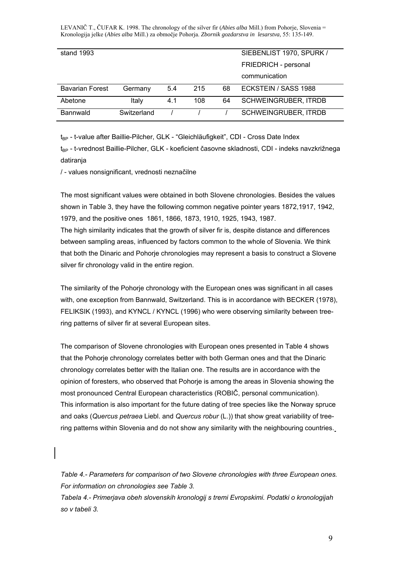| stand 1993             |             |     |     |    | SIEBENLIST 1970, SPURK /    |
|------------------------|-------------|-----|-----|----|-----------------------------|
|                        |             |     |     |    |                             |
|                        |             |     |     |    | FRIEDRICH - personal        |
|                        |             |     |     |    |                             |
|                        |             |     |     |    | communication               |
|                        |             |     |     |    |                             |
| <b>Bavarian Forest</b> | Germany     | 5.4 | 215 | 68 | ECKSTEIN / SASS 1988        |
|                        |             |     |     |    |                             |
| Abetone                | Italy       | 4.1 | 108 | 64 | <b>SCHWEINGRUBER, ITRDB</b> |
|                        |             |     |     |    |                             |
| Bannwald               | Switzerland |     |     |    | <b>SCHWEINGRUBER, ITRDB</b> |
|                        |             |     |     |    |                             |
|                        |             |     |     |    |                             |

t<sub>RP</sub> - t-value after Baillie-Pilcher, GLK - "Gleichläufigkeit", CDI - Cross Date Index

t<sub>BP</sub> - t-vrednost Baillie-Pilcher, GLK - koeficient časovne skladnosti, CDI - indeks navzkrižnega datiranja

/ - values nonsignificant, vrednosti neznačilne

The most significant values were obtained in both Slovene chronologies. Besides the values shown in Table 3, they have the following common negative pointer years 1872,1917, 1942, 1979, and the positive ones 1861, 1866, 1873, 1910, 1925, 1943, 1987.

The high similarity indicates that the growth of silver fir is, despite distance and differences between sampling areas, influenced by factors common to the whole of Slovenia. We think that both the Dinaric and Pohorje chronologies may represent a basis to construct a Slovene silver fir chronology valid in the entire region.

The similarity of the Pohorje chronology with the European ones was significant in all cases with, one exception from Bannwald, Switzerland. This is in accordance with BECKER (1978), FELIKSIK (1993), and KYNCL / KYNCL (1996) who were observing similarity between treering patterns of silver fir at several European sites.

The comparison of Slovene chronologies with European ones presented in Table 4 shows that the Pohorje chronology correlates better with both German ones and that the Dinaric chronology correlates better with the Italian one. The results are in accordance with the opinion of foresters, who observed that Pohorje is among the areas in Slovenia showing the most pronounced Central European characteristics (ROBIČ, personal communication). This information is also important for the future dating of tree species like the Norway spruce and oaks (*Quercus petraea* Liebl. and *Quercus robur* (L.)) that show great variability of treering patterns within Slovenia and do not show any similarity with the neighbouring countries.

*Table 4.- Parameters for comparison of two Slovene chronologies with three European ones. For information on chronologies see Table 3.* 

*Tabela 4.- Primerjava obeh slovenskih kronologij s tremi Evropskimi. Podatki o kronologijah so v tabeli 3.*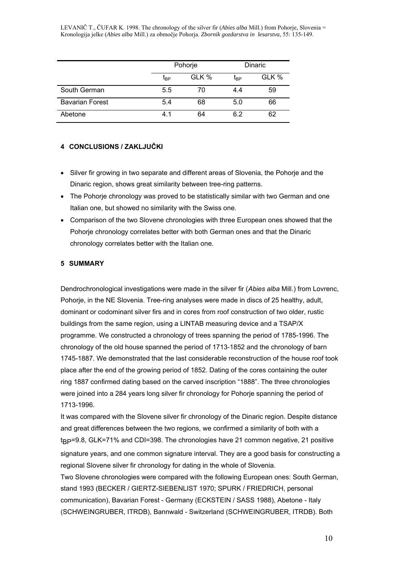|                        |                 | Pohorje | <b>Dinaric</b>  |       |  |
|------------------------|-----------------|---------|-----------------|-------|--|
|                        | t <sub>BP</sub> | GLK %   | t <sub>BP</sub> | GLK % |  |
| South German           | 5.5             | 70      | 4.4             | 59    |  |
| <b>Bavarian Forest</b> | 5.4             | 68      | 5.0             | 66    |  |
| Abetone                | 4.1             | 64      | 62              | 62    |  |

### **4 CONCLUSIONS / ZAKLJUČKI**

- Silver fir growing in two separate and different areas of Slovenia, the Pohorje and the Dinaric region, shows great similarity between tree-ring patterns.
- The Pohorje chronology was proved to be statistically similar with two German and one Italian one, but showed no similarity with the Swiss one.
- Comparison of the two Slovene chronologies with three European ones showed that the Pohorje chronology correlates better with both German ones and that the Dinaric chronology correlates better with the Italian one.

#### **5 SUMMARY**

Dendrochronological investigations were made in the silver fir (*Abies alba* Mill.) from Lovrenc, Pohorje, in the NE Slovenia. Tree-ring analyses were made in discs of 25 healthy, adult, dominant or codominant silver firs and in cores from roof construction of two older, rustic buildings from the same region, using a LINTAB measuring device and a TSAP/X programme. We constructed a chronology of trees spanning the period of 1785-1996. The chronology of the old house spanned the period of 1713-1852 and the chronology of barn 1745-1887. We demonstrated that the last considerable reconstruction of the house roof took place after the end of the growing period of 1852. Dating of the cores containing the outer ring 1887 confirmed dating based on the carved inscription "1888". The three chronologies were joined into a 284 years long silver fir chronology for Pohorje spanning the period of 1713-1996.

It was compared with the Slovene silver fir chronology of the Dinaric region. Despite distance and great differences between the two regions, we confirmed a similarity of both with a t BP=9.8, GLK=71% and CDI=398. The chronologies have 21 common negative, 21 positive signature years, and one common signature interval. They are a good basis for constructing a regional Slovene silver fir chronology for dating in the whole of Slovenia. Two Slovene chronologies were compared with the following European ones: South German, stand 1993 (BECKER / GIERTZ-SIEBENLIST 1970; SPURK / FRIEDRICH, personal communication), Bavarian Forest - Germany (ECKSTEIN / SASS 1988), Abetone - Italy (SCHWEINGRUBER, ITRDB), Bannwald - Switzerland (SCHWEINGRUBER, ITRDB). Both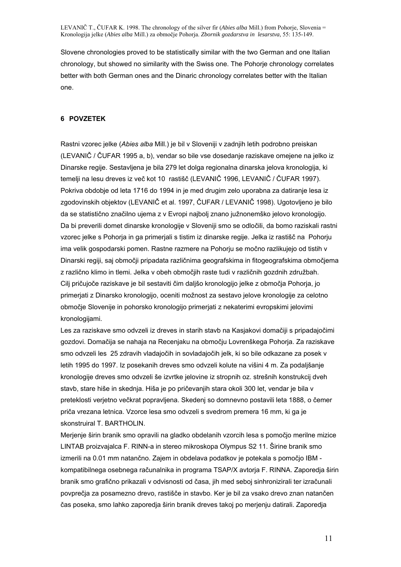Slovene chronologies proved to be statistically similar with the two German and one Italian chronology, but showed no similarity with the Swiss one. The Pohorje chronology correlates better with both German ones and the Dinaric chronology correlates better with the Italian one.

#### **6 POVZETEK**

Rastni vzorec jelke (*Abies alba* Mill.) je bil v Sloveniji v zadnjih letih podrobno preiskan (LEVANIČ / ČUFAR 1995 a, b), vendar so bile vse dosedanje raziskave omejene na jelko iz Dinarske regije. Sestavljena je bila 279 let dolga regionalna dinarska jelova kronologija, ki temelji na lesu dreves iz več kot 10 rastišč (LEVANIČ 1996, LEVANIČ / ČUFAR 1997). Pokriva obdobje od leta 1716 do 1994 in je med drugim zelo uporabna za datiranje lesa iz zgodovinskih objektov (LEVANIČ et al. 1997, ČUFAR / LEVANIČ 1998). Ugotovljeno je bilo da se statistično značilno ujema z v Evropi najbolj znano južnonemško jelovo kronologijo. Da bi preverili domet dinarske kronologije v Sloveniji smo se odločili, da bomo raziskali rastni vzorec jelke s Pohorja in ga primerjali s tistim iz dinarske regije. Jelka iz rastišč na Pohorju ima velik gospodarski pomen. Rastne razmere na Pohorju se močno razlikujejo od tistih v Dinarski regiji, saj območji pripadata različnima geografskima in fitogeografskima območjema z različno klimo in tlemi. Jelka v obeh območjih raste tudi v različnih gozdnih združbah. Cilj pričujoče raziskave je bil sestaviti čim daljšo kronologijo jelke z območja Pohorja, jo primerjati z Dinarsko kronologijo, oceniti možnost za sestavo jelove kronologije za celotno območje Slovenije in pohorsko kronologijo primerjati z nekaterimi evropskimi jelovimi kronologijami.

Les za raziskave smo odvzeli iz dreves in starih stavb na Kasjakovi domačiji s pripadajočimi gozdovi. Domačija se nahaja na Recenjaku na območju Lovrenškega Pohorja. Za raziskave smo odvzeli les 25 zdravih vladajočih in sovladajočih jelk, ki so bile odkazane za posek v letih 1995 do 1997. Iz posekanih dreves smo odvzeli kolute na višini 4 m. Za podaljšanje kronologije dreves smo odvzeli še izvrtke jelovine iz stropnih oz. strešnih konstrukcij dveh stavb, stare hiše in skednja. Hiša je po pričevanjih stara okoli 300 let, vendar je bila v preteklosti verjetno večkrat popravljena. Skedenj so domnevno postavili leta 1888, o čemer priča vrezana letnica. Vzorce lesa smo odvzeli s svedrom premera 16 mm, ki ga je skonstruiral T. BARTHOLIN.

Merjenje širin branik smo opravili na gladko obdelanih vzorcih lesa s pomočjo merilne mizice LINTAB proizvajalca F. RINN-a in stereo mikroskopa Olympus S2 11. Širine branik smo izmerili na 0.01 mm natančno. Zajem in obdelava podatkov je potekala s pomočjo IBM kompatibilnega osebnega računalnika in programa TSAP/X avtorja F. RINNA. Zaporedja širin branik smo grafično prikazali v odvisnosti od časa, jih med seboj sinhronizirali ter izračunali povprečja za posamezno drevo, rastišče in stavbo. Ker je bil za vsako drevo znan natančen čas poseka, smo lahko zaporedja širin branik dreves takoj po merjenju datirali. Zaporedja

11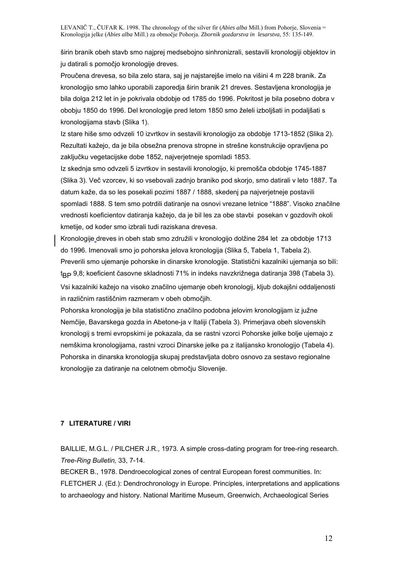širin branik obeh stavb smo najprej medsebojno sinhronizrali, sestavili kronologiji objektov in ju datirali s pomočjo kronologije dreves.

Proučena drevesa, so bila zelo stara, saj je najstarejše imelo na višini 4 m 228 branik. Za kronologijo smo lahko uporabili zaporedja širin branik 21 dreves. Sestavljena kronologija je bila dolga 212 let in je pokrivala obdobje od 1785 do 1996. Pokritost je bila posebno dobra v obobju 1850 do 1996. Del kronologije pred letom 1850 smo želeli izboljšati in podaljšati s kronologijama stavb (Slika 1).

Iz stare hiše smo odvzeli 10 izvrtkov in sestavili kronologijo za obdobje 1713-1852 (Slika 2). Rezultati kažejo, da je bila obsežna prenova stropne in strešne konstrukcije opravljena po zaključku vegetacijske dobe 1852, najverjetneje spomladi 1853.

Iz skednja smo odvzeli 5 izvrtkov in sestavili kronologijo, ki premošča obdobje 1745-1887 (Slika 3). Več vzorcev, ki so vsebovali zadnjo braniko pod skorjo, smo datirali v leto 1887. Ta datum kaže, da so les posekali pozimi 1887 / 1888, skedenj pa najverjetneje postavili spomladi 1888. S tem smo potrdili datiranje na osnovi vrezane letnice "1888". Visoko značilne vrednosti koeficientov datiranja kažejo, da je bil les za obe stavbi posekan v gozdovih okoli kmetije, od koder smo izbrali tudi raziskana drevesa.

Kronologije dreves in obeh stab smo združili v kronologijo dolžine 284 let za obdobje 1713 do 1996. Imenovali smo jo pohorska jelova kronologija (Slika 5, Tabela 1, Tabela 2). Preverili smo ujemanje pohorske in dinarske kronologije. Statistični kazalniki ujemanja so bili: t BP 9,8; koeficient časovne skladnosti 71% in indeks navzkrižnega datiranja 398 (Tabela 3). Vsi kazalniki kažejo na visoko značilno ujemanje obeh kronologij, kljub dokajšni oddaljenosti in različnim rastiščnim razmeram v obeh območjih.

Pohorska kronologija je bila statistično značilno podobna jelovim kronologijam iz južne Nemčije, Bavarskega gozda in Abetone-ja v Italiji (Tabela 3). Primerjava obeh slovenskih kronologij s tremi evropskimi je pokazala, da se rastni vzorci Pohorske jelke bolje ujemajo z nemškima kronologijama, rastni vzroci Dinarske jelke pa z italijansko kronologijo (Tabela 4). Pohorska in dinarska kronologija skupaj predstavljata dobro osnovo za sestavo regionalne kronologije za datiranje na celotnem območju Slovenije.

### **7 LITERATURE / VIRI**

BAILLIE, M.G.L. / PILCHER J.R., 1973. A simple cross-dating program for tree-ring research. *Tree-Ring Bulletin,* 33, 7-14.

BECKER B., 1978. Dendroecological zones of central European forest communities. In: FLETCHER J. (Ed.): Dendrochronology in Europe. Principles, interpretations and applications to archaeology and history. National Maritime Museum, Greenwich, Archaeological Series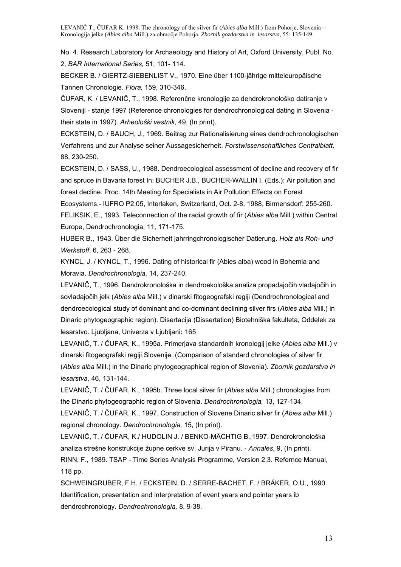No. 4. Research Laboratory for Archaeology and History of Art, Oxford University, Publ. No. 2, *BAR International Series,* 51, 101- 114.

BECKER B. / GIERTZ-SIEBENLIST V., 1970. Eine über 1100-jährige mitteleuropäische Tannen Chronologie. *Flora,* 159, 310-346.

ČUFAR, K. / LEVANIČ, T., 1998. Referenčne kronologije za dendrokronološko datiranje v Sloveniji - stanje 1997 (Reference chronologies for dendrochronological dating in Slovenia their state in 1997). *Arheološki vestnik,* 49, (In print).

ECKSTEIN, D. / BAUCH, J., 1969. Beitrag zur Rationalisierung eines dendrochronologischen Verfahrens und zur Analyse seiner Aussagesicherheit. *Forstwissenschaftliches Centralblatt,* 88, 230-250.

ECKSTEIN, D. / SASS, U., 1988. Dendroecological assessment of decline and recovery of fir and spruce in Bavaria forest In: BUCHER J.B., BUCHER-WALLIN I. (Eds.): Air pollution and forest decline. Proc. 14th Meeting for Specialists in Air Pollution Effects on Forest Ecosystems.- IUFRO P2.05, Interlaken, Switzerland, Oct. 2-8, 1988, Birmensdorf: 255-260. FELIKSIK, E., 1993. Teleconnection of the radial growth of fir (*Abies alba* Mill.) within Central Europe, Dendrochronologia, 11, 171-175.

HUBER B., 1943. Über die Sicherheit jahrringchronologischer Datierung. *Holz als Roh- und Werkstoff*, 6, 263 - 268.

KYNCL, J. / KYNCL, T., 1996. Dating of historical fir (Abies alba) wood in Bohemia and Moravia. *Dendrochronologia,* 14, 237-240.

LEVANIČ, T., 1996. Dendrokronološka in dendroekološka analiza propadajočih vladajočih in sovladajočih jelk (*Abies alba* Mill.) v dinarski fitogeografski regiji (Dendrochronological and dendroecological study of dominant and co-dominant declining silver firs (*Abies alba* Mill.) in Dinaric phytogeographic region). Disertacija (Dissertation) Biotehniška fakulteta, Oddelek za lesarstvo. Ljubljana, Univerza v Ljubljani**:** 165

LEVANIČ, T. / ČUFAR, K., 1995a. Primerjava standardnih kronologij jelke (*Abies alba* Mill.) v dinarski fitogeografski regiji Slovenije. (Comparison of standard chronologies of silver fir (*Abies alba* Mill.) in the Dinaric phytogeographical region of Slovenia). *Zbornik gozdarstva in lesarstva,* 46, 131-144.

LEVANIČ, T. / ČUFAR, K., 1995b. Three local silver fir (*Abies alba* Mill.) chronologies from the Dinaric phytogeographic region of Slovenia. *Dendrochronologia,* 13, 127-134.

LEVANIČ, T. / ČUFAR, K., 1997. Construction of Slovene Dinaric silver fir (*Abies alba* Mill.) regional chronology. *Dendrochronologia,* 15, (In print).

LEVANIČ, T. / ČUFAR, K./ HUDOLIN J. / BENKO-MÄCHTIG B.,1997. Dendrokronološka analiza strešne konstrukcije župne cerkve sv. Jurija v Piranu. - *Annales*, 9, (In print). RINN, F., 1989. TSAP - Time Series Analysis Programme, Version 2.3. Refernce Manual,

118 pp.

SCHWEINGRUBER, F.H. / ECKSTEIN, D. / SERRE-BACHET, F. / BRÄKER, O.U., 1990. Identification, presentation and interpretation of event years and pointer years ib dendrochronology. *Dendrochronologia,* 8, 9-38.